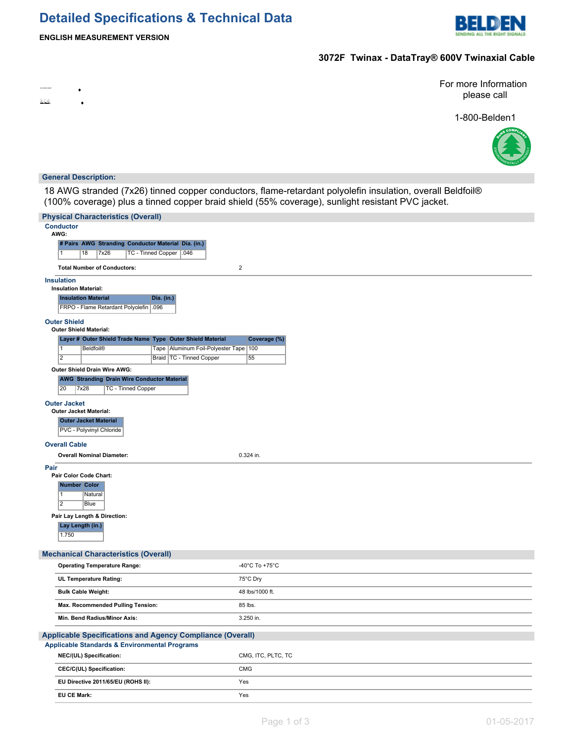# **Detailed Specifications & Technical Data**



### **3072F Twinax - DataTray® 600V Twinaxial Cable**

For more Information please call

1-800-Belden1



#### **General Description:**

<u>kick.</u>

18 AWG stranded (7x26) tinned copper conductors, flame-retardant polyolefin insulation, overall Beldfoil® (100% coverage) plus a tinned copper braid shield (55% coverage), sunlight resistant PVC jacket.

| <b>Physical Characteristics (Overall)</b>                                     |                    |  |  |  |
|-------------------------------------------------------------------------------|--------------------|--|--|--|
| <b>Conductor</b>                                                              |                    |  |  |  |
| AWG:<br># Pairs AWG Stranding Conductor Material Dia. (in.)                   |                    |  |  |  |
| TC - Tinned Copper   .046<br>$\overline{1}$<br>18<br>7x26                     |                    |  |  |  |
|                                                                               |                    |  |  |  |
| <b>Total Number of Conductors:</b>                                            | $\mathbf 2$        |  |  |  |
| <b>Insulation</b>                                                             |                    |  |  |  |
| <b>Insulation Material:</b><br><b>Insulation Material</b><br>Dia. (in.)       |                    |  |  |  |
| FRPO - Flame Retardant Polyolefin 096                                         |                    |  |  |  |
|                                                                               |                    |  |  |  |
| <b>Outer Shield</b><br><b>Outer Shield Material:</b>                          |                    |  |  |  |
| Layer # Outer Shield Trade Name Type Outer Shield Material                    | Coverage (%)       |  |  |  |
| Tape Aluminum Foil-Polyester Tape   100<br>$\overline{1}$<br><b>Beldfoil®</b> |                    |  |  |  |
| $\overline{2}$<br>Braid   TC - Tinned Copper                                  | 55                 |  |  |  |
| Outer Shield Drain Wire AWG:                                                  |                    |  |  |  |
| <b>AWG Stranding Drain Wire Conductor Material</b>                            |                    |  |  |  |
| 20<br>7x28<br><b>TC - Tinned Copper</b>                                       |                    |  |  |  |
| <b>Outer Jacket</b>                                                           |                    |  |  |  |
| <b>Outer Jacket Material:</b>                                                 |                    |  |  |  |
| <b>Outer Jacket Material</b><br>PVC - Polyvinyl Chloride                      |                    |  |  |  |
|                                                                               |                    |  |  |  |
| <b>Overall Cable</b>                                                          |                    |  |  |  |
| <b>Overall Nominal Diameter:</b>                                              | 0.324 in.          |  |  |  |
| Pair<br>Pair Color Code Chart:                                                |                    |  |  |  |
| <b>Number Color</b>                                                           |                    |  |  |  |
| $\overline{1}$<br>Natural                                                     |                    |  |  |  |
| $\overline{2}$<br><b>Blue</b>                                                 |                    |  |  |  |
| Pair Lay Length & Direction:                                                  |                    |  |  |  |
| Lay Length (in.)                                                              |                    |  |  |  |
| 1.750                                                                         |                    |  |  |  |
|                                                                               |                    |  |  |  |
| <b>Mechanical Characteristics (Overall)</b>                                   |                    |  |  |  |
| <b>Operating Temperature Range:</b>                                           | -40°C To +75°C     |  |  |  |
| UL Temperature Rating:                                                        | 75°C Dry           |  |  |  |
| <b>Bulk Cable Weight:</b>                                                     | 48 lbs/1000 ft.    |  |  |  |
| Max. Recommended Pulling Tension:                                             | 85 lbs.            |  |  |  |
| Min. Bend Radius/Minor Axis:                                                  | 3.250 in.          |  |  |  |
|                                                                               |                    |  |  |  |
| Applicable Specifications and Agency Compliance (Overall)                     |                    |  |  |  |
| <b>Applicable Standards &amp; Environmental Programs</b>                      |                    |  |  |  |
| NEC/(UL) Specification:                                                       | CMG, ITC, PLTC, TC |  |  |  |
| CEC/C(UL) Specification:                                                      | <b>CMG</b>         |  |  |  |
| EU Directive 2011/65/EU (ROHS II):                                            | Yes                |  |  |  |
| <b>EU CE Mark:</b>                                                            | Yes                |  |  |  |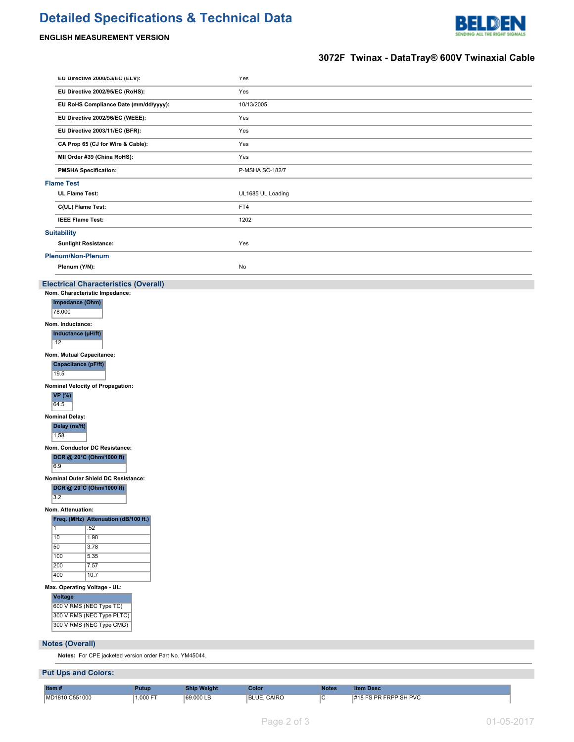# **Detailed Specifications & Technical Data**



### **ENGLISH MEASUREMENT VERSION**

## **3072F Twinax - DataTray® 600V Twinaxial Cable**

| EU Directive 2000/53/EC (ELV):                            | Yes               |  |  |  |  |  |  |
|-----------------------------------------------------------|-------------------|--|--|--|--|--|--|
| EU Directive 2002/95/EC (RoHS):                           | Yes               |  |  |  |  |  |  |
| EU RoHS Compliance Date (mm/dd/yyyy):                     | 10/13/2005        |  |  |  |  |  |  |
| EU Directive 2002/96/EC (WEEE):                           | Yes               |  |  |  |  |  |  |
| EU Directive 2003/11/EC (BFR):                            | Yes               |  |  |  |  |  |  |
| CA Prop 65 (CJ for Wire & Cable):                         | Yes               |  |  |  |  |  |  |
| MII Order #39 (China RoHS):                               | Yes               |  |  |  |  |  |  |
| <b>PMSHA Specification:</b>                               | P-MSHA SC-182/7   |  |  |  |  |  |  |
| <b>Flame Test</b>                                         |                   |  |  |  |  |  |  |
| <b>UL Flame Test:</b>                                     | UL1685 UL Loading |  |  |  |  |  |  |
| C(UL) Flame Test:                                         | FT4               |  |  |  |  |  |  |
| <b>IEEE Flame Test:</b>                                   | 1202              |  |  |  |  |  |  |
| <b>Suitability</b>                                        |                   |  |  |  |  |  |  |
| <b>Sunlight Resistance:</b>                               | Yes               |  |  |  |  |  |  |
| Plenum/Non-Plenum                                         |                   |  |  |  |  |  |  |
| Plenum (Y/N):                                             | No                |  |  |  |  |  |  |
| <b>Electrical Characteristics (Overall)</b>               |                   |  |  |  |  |  |  |
| Nom. Characteristic Impedance:                            |                   |  |  |  |  |  |  |
| Impedance (Ohm)<br>78.000                                 |                   |  |  |  |  |  |  |
| Nom. Inductance:                                          |                   |  |  |  |  |  |  |
| Inductance (µH/ft)<br>.12                                 |                   |  |  |  |  |  |  |
| Nom. Mutual Capacitance:                                  |                   |  |  |  |  |  |  |
| Capacitance (pF/ft)                                       |                   |  |  |  |  |  |  |
| 19.5                                                      |                   |  |  |  |  |  |  |
| Nominal Velocity of Propagation:<br><b>VP</b> (%)<br>64.5 |                   |  |  |  |  |  |  |
| <b>Nominal Delay:</b>                                     |                   |  |  |  |  |  |  |
| Delay (ns/ft)<br>1.58                                     |                   |  |  |  |  |  |  |
| Nom. Conductor DC Resistance:                             |                   |  |  |  |  |  |  |
| DCR @ 20°C (Ohm/1000 ft)<br>6.9                           |                   |  |  |  |  |  |  |
| Nominal Outer Shield DC Resistance:                       |                   |  |  |  |  |  |  |
| DCR @ 20°C (Ohm/1000 ft)<br>3.2                           |                   |  |  |  |  |  |  |
| Nom. Attenuation:                                         |                   |  |  |  |  |  |  |
| Freq. (MHz) Attenuation (dB/100 ft.)                      |                   |  |  |  |  |  |  |
| .52<br>$\mathbf{1}$<br>10<br>1.98                         |                   |  |  |  |  |  |  |
| 50<br>3.78                                                |                   |  |  |  |  |  |  |
| 100<br>5.35                                               |                   |  |  |  |  |  |  |
| 200<br>7.57<br>400<br>10.7                                |                   |  |  |  |  |  |  |
| Max. Operating Voltage - UL:                              |                   |  |  |  |  |  |  |
| <b>Voltage</b>                                            |                   |  |  |  |  |  |  |
| 600 V RMS (NEC Type TC)                                   |                   |  |  |  |  |  |  |
| 300 V RMS (NEC Type PLTC)<br>300 V RMS (NEC Type CMG)     |                   |  |  |  |  |  |  |
|                                                           |                   |  |  |  |  |  |  |
| <b>Notes (Overall)</b>                                    |                   |  |  |  |  |  |  |
| Notes: For CPE jacketed version order Part No. YM45044.   |                   |  |  |  |  |  |  |
| <b>Put Ups and Colors:</b>                                |                   |  |  |  |  |  |  |

| Item#          | Putup    | <b>Ship Weight</b> | Color       | <b>Notes</b> | <b>Item Desc.</b>     |
|----------------|----------|--------------------|-------------|--------------|-----------------------|
| MD1810 C551000 | 1.000 FT | 69,000 LB          | BLUE, CAIRO |              | #18 FS PR FRPP SH PVC |